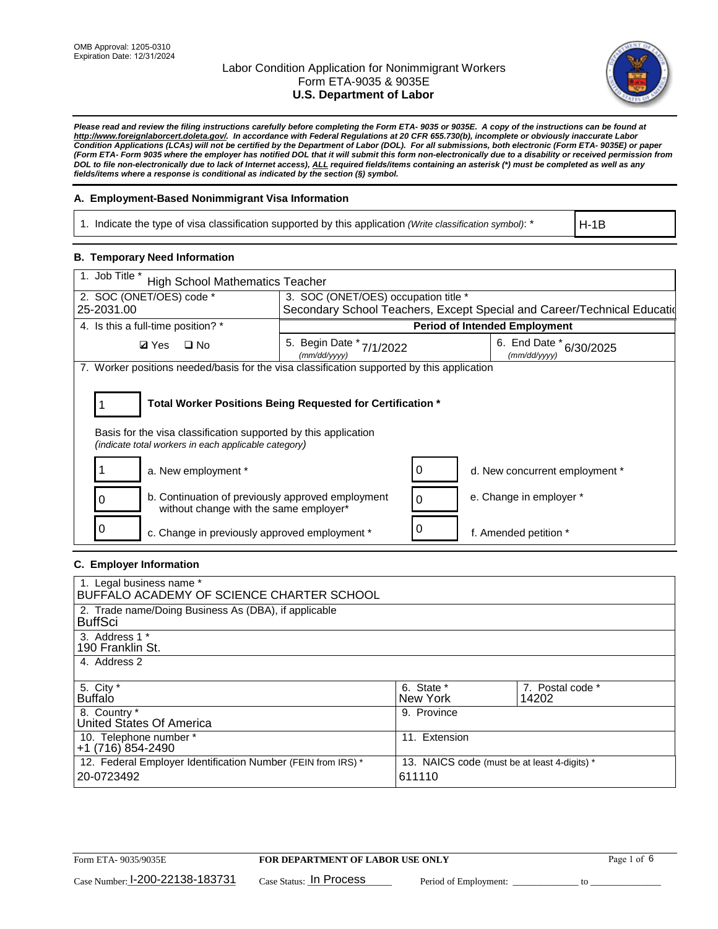

*Please read and review the filing instructions carefully before completing the Form ETA- 9035 or 9035E. A copy of the instructions can be found at [http://www.foreignlaborcert.doleta.gov/.](http://www.foreignlaborcert.doleta.gov/) In accordance with Federal Regulations at 20 CFR 655.730(b), incomplete or obviously inaccurate Labor Condition Applications (LCAs) will not be certified by the Department of Labor (DOL). For all submissions, both electronic (Form ETA- 9035E) or paper (Form ETA- Form 9035 where the employer has notified DOL that it will submit this form non-electronically due to a disability or received permission from DOL to file non-electronically due to lack of Internet access), ALL required fields/items containing an asterisk (\*) must be completed as well as any fields/items where a response is conditional as indicated by the section (§) symbol.* 

### **A. Employment-Based Nonimmigrant Visa Information**

1. Indicate the type of visa classification supported by this application *(Write classification symbol)*: \*

H-1B

### **B. Temporary Need Information**

| 1. Job Title *<br><b>High School Mathematics Teacher</b>                                                                                                                              |                                          |                                      |                                                                          |  |  |  |
|---------------------------------------------------------------------------------------------------------------------------------------------------------------------------------------|------------------------------------------|--------------------------------------|--------------------------------------------------------------------------|--|--|--|
| 2. SOC (ONET/OES) code *                                                                                                                                                              |                                          | 3. SOC (ONET/OES) occupation title * |                                                                          |  |  |  |
| 25-2031.00                                                                                                                                                                            |                                          |                                      | Secondary School Teachers, Except Special and Career/Technical Education |  |  |  |
| 4. Is this a full-time position? *                                                                                                                                                    |                                          | <b>Period of Intended Employment</b> |                                                                          |  |  |  |
| <b>Ø</b> Yes<br>$\square$ No                                                                                                                                                          | 5. Begin Date * 7/1/2022<br>(mm/dd/yyyy) |                                      | 6. End Date *<br>6/30/2025<br>(mm/dd/yyyy)                               |  |  |  |
| 7. Worker positions needed/basis for the visa classification supported by this application                                                                                            |                                          |                                      |                                                                          |  |  |  |
| Total Worker Positions Being Requested for Certification *<br>Basis for the visa classification supported by this application<br>(indicate total workers in each applicable category) |                                          |                                      |                                                                          |  |  |  |
| a. New employment *                                                                                                                                                                   |                                          | 0                                    | d. New concurrent employment *                                           |  |  |  |
| b. Continuation of previously approved employment<br>O<br>without change with the same employer*                                                                                      |                                          | $\Omega$                             | e. Change in employer *                                                  |  |  |  |
| c. Change in previously approved employment *                                                                                                                                         |                                          | 0                                    | f. Amended petition *                                                    |  |  |  |

### **C. Employer Information**

| 1. Legal business name *                                     |                                              |                  |
|--------------------------------------------------------------|----------------------------------------------|------------------|
| BUFFALO ACADEMY OF SCIENCE CHARTER SCHOOL                    |                                              |                  |
| 2. Trade name/Doing Business As (DBA), if applicable         |                                              |                  |
| <b>BuffSci</b>                                               |                                              |                  |
| 3. Address 1 *                                               |                                              |                  |
| 190 Franklin St.                                             |                                              |                  |
| 4. Address 2                                                 |                                              |                  |
|                                                              |                                              |                  |
| 5. City *                                                    | 6. State *                                   | 7. Postal code * |
| <b>Buffalo</b>                                               | New York                                     | 14202            |
| 8. Country *                                                 | 9. Province                                  |                  |
| United States Of America                                     |                                              |                  |
| 10. Telephone number *                                       | 11. Extension                                |                  |
| +1 (716) 854-2490                                            |                                              |                  |
| 12. Federal Employer Identification Number (FEIN from IRS) * | 13. NAICS code (must be at least 4-digits) * |                  |
| 20-0723492                                                   | 611110                                       |                  |
|                                                              |                                              |                  |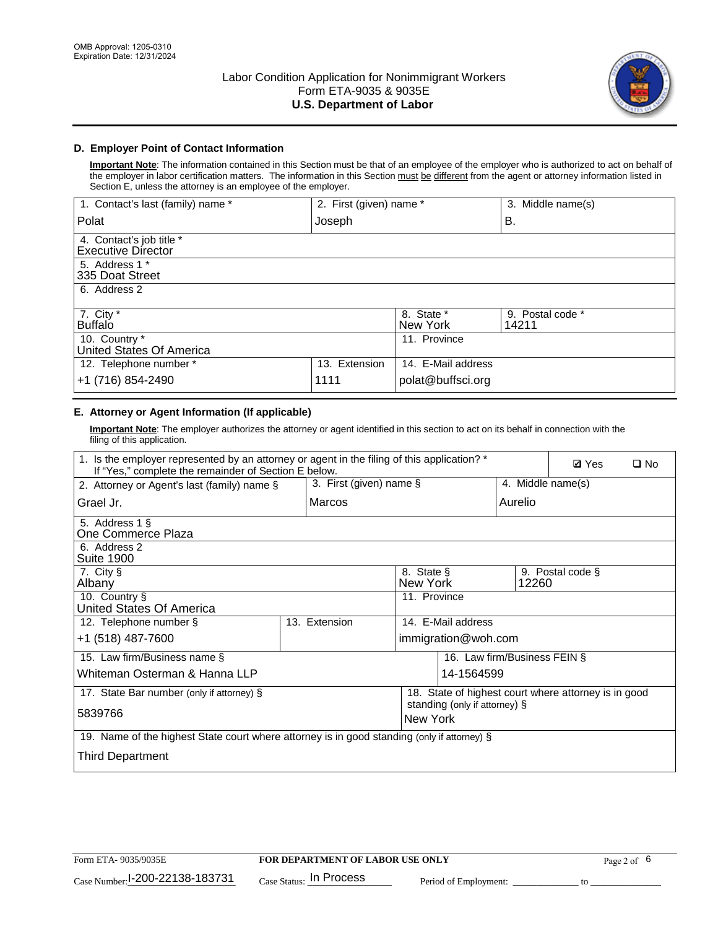

## **D. Employer Point of Contact Information**

**Important Note**: The information contained in this Section must be that of an employee of the employer who is authorized to act on behalf of the employer in labor certification matters. The information in this Section must be different from the agent or attorney information listed in Section E, unless the attorney is an employee of the employer.

| 1. Contact's last (family) name *                     | 2. First (given) name * |                        | 3. Middle name(s)         |
|-------------------------------------------------------|-------------------------|------------------------|---------------------------|
| Polat                                                 | Joseph                  |                        | В.                        |
| 4. Contact's job title *<br><b>Executive Director</b> |                         |                        |                           |
| 5. Address 1 *<br>335 Doat Street                     |                         |                        |                           |
| 6. Address 2                                          |                         |                        |                           |
| 7. City $*$<br><b>Buffalo</b>                         |                         | 8. State *<br>New York | 9. Postal code *<br>14211 |
| 10. Country *<br>United States Of America             |                         | 11. Province           |                           |
| 12. Telephone number *                                | 13. Extension           | 14. E-Mail address     |                           |
| +1 (716) 854-2490                                     | 1111                    | polat@buffsci.org      |                           |

## **E. Attorney or Agent Information (If applicable)**

**Important Note**: The employer authorizes the attorney or agent identified in this section to act on its behalf in connection with the filing of this application.

| 1. Is the employer represented by an attorney or agent in the filing of this application? *<br>If "Yes," complete the remainder of Section E below. | <b>Ø</b> Yes<br>$\square$ No |                    |                               |                                                      |
|-----------------------------------------------------------------------------------------------------------------------------------------------------|------------------------------|--------------------|-------------------------------|------------------------------------------------------|
| 2. Attorney or Agent's last (family) name §                                                                                                         | 3. First (given) name §      |                    |                               | 4. Middle name(s)                                    |
| Grael Jr.                                                                                                                                           | Marcos                       |                    | Aurelio                       |                                                      |
| 5. Address 1 §<br>One Commerce Plaza                                                                                                                |                              |                    |                               |                                                      |
| 6. Address 2<br><b>Suite 1900</b>                                                                                                                   |                              |                    |                               |                                                      |
| 7. City §<br>8. State §<br>9. Postal code §<br>Albany<br>New York<br>12260                                                                          |                              |                    |                               |                                                      |
| 10. Country §<br>United States Of America                                                                                                           |                              | 11. Province       |                               |                                                      |
| 12. Telephone number §                                                                                                                              | 13. Extension                | 14. E-Mail address |                               |                                                      |
| +1 (518) 487-7600                                                                                                                                   |                              |                    | immigration@woh.com           |                                                      |
| 15. Law firm/Business name §                                                                                                                        |                              |                    | 16. Law firm/Business FEIN §  |                                                      |
| Whiteman Osterman & Hanna LLP                                                                                                                       |                              |                    | 14-1564599                    |                                                      |
| 17. State Bar number (only if attorney) §                                                                                                           |                              |                    |                               | 18. State of highest court where attorney is in good |
| 5839766                                                                                                                                             |                              | New York           | standing (only if attorney) § |                                                      |
| 19. Name of the highest State court where attorney is in good standing (only if attorney) §                                                         |                              |                    |                               |                                                      |
| Third Department                                                                                                                                    |                              |                    |                               |                                                      |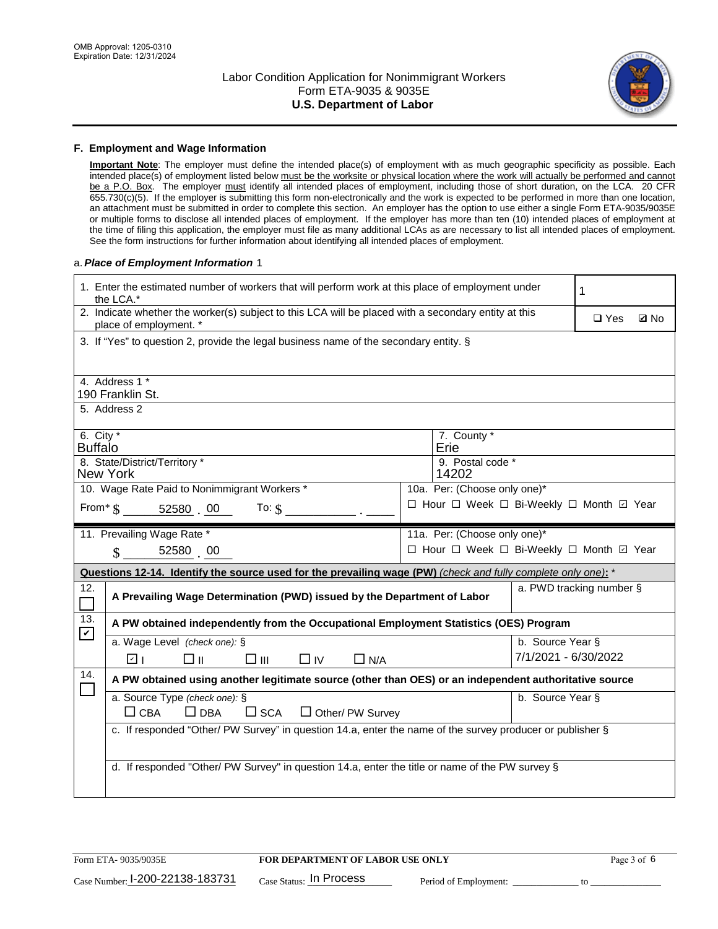

#### **F. Employment and Wage Information**

**Important Note**: The employer must define the intended place(s) of employment with as much geographic specificity as possible. Each intended place(s) of employment listed below must be the worksite or physical location where the work will actually be performed and cannot be a P.O. Box. The employer must identify all intended places of employment, including those of short duration, on the LCA. 20 CFR 655.730(c)(5). If the employer is submitting this form non-electronically and the work is expected to be performed in more than one location, an attachment must be submitted in order to complete this section. An employer has the option to use either a single Form ETA-9035/9035E or multiple forms to disclose all intended places of employment. If the employer has more than ten (10) intended places of employment at the time of filing this application, the employer must file as many additional LCAs as are necessary to list all intended places of employment. See the form instructions for further information about identifying all intended places of employment.

#### a.*Place of Employment Information* 1

| 1. Enter the estimated number of workers that will perform work at this place of employment under<br>the LCA.*                 |                         |  |                                          |                          |               |             |  |
|--------------------------------------------------------------------------------------------------------------------------------|-------------------------|--|------------------------------------------|--------------------------|---------------|-------------|--|
| 2. Indicate whether the worker(s) subject to this LCA will be placed with a secondary entity at this<br>place of employment. * |                         |  |                                          |                          | $\square$ Yes | <b>Z</b> No |  |
| 3. If "Yes" to question 2, provide the legal business name of the secondary entity. §                                          |                         |  |                                          |                          |               |             |  |
| 4. Address 1 *<br>190 Franklin St.                                                                                             |                         |  |                                          |                          |               |             |  |
| 5. Address 2                                                                                                                   |                         |  |                                          |                          |               |             |  |
| 6. City $*$<br><b>Buffalo</b>                                                                                                  |                         |  | 7. County *<br>Erie                      |                          |               |             |  |
| 8. State/District/Territory *<br>9. Postal code *<br><b>New York</b><br>14202                                                  |                         |  |                                          |                          |               |             |  |
| 10. Wage Rate Paid to Nonimmigrant Workers *<br>10a. Per: (Choose only one)*                                                   |                         |  |                                          |                          |               |             |  |
| □ Hour □ Week □ Bi-Weekly □ Month ☑ Year<br>From $\text{\$}$ 52580 00 To: $\text{\$}$                                          |                         |  |                                          |                          |               |             |  |
| 11. Prevailing Wage Rate *<br>11a. Per: (Choose only one)*                                                                     |                         |  |                                          |                          |               |             |  |
| 52580 00<br>$\mathbf S$                                                                                                        |                         |  | □ Hour □ Week □ Bi-Weekly □ Month ☑ Year |                          |               |             |  |
| Questions 12-14. Identify the source used for the prevailing wage (PW) (check and fully complete only one): *                  |                         |  |                                          |                          |               |             |  |
| 12.<br>A Prevailing Wage Determination (PWD) issued by the Department of Labor                                                 |                         |  |                                          | a. PWD tracking number § |               |             |  |
| 13.<br>A PW obtained independently from the Occupational Employment Statistics (OES) Program<br>$\blacktriangledown$           |                         |  |                                          |                          |               |             |  |
| a. Wage Level (check one): §                                                                                                   |                         |  |                                          | b. Source Year §         |               |             |  |
| ला<br>□⊪<br>□Ⅲ                                                                                                                 | $\Box$ IV<br>$\Box$ N/A |  |                                          | 7/1/2021 - 6/30/2022     |               |             |  |
| 14.<br>A PW obtained using another legitimate source (other than OES) or an independent authoritative source                   |                         |  |                                          |                          |               |             |  |
| a. Source Type (check one): §<br>$\Box$ CBA<br>$\Box$ DBA<br>$\square$ SCA                                                     | $\Box$ Other/ PW Survey |  |                                          | b. Source Year §         |               |             |  |
| c. If responded "Other/ PW Survey" in question 14.a, enter the name of the survey producer or publisher §                      |                         |  |                                          |                          |               |             |  |
|                                                                                                                                |                         |  |                                          |                          |               |             |  |
| d. If responded "Other/ PW Survey" in question 14.a, enter the title or name of the PW survey §                                |                         |  |                                          |                          |               |             |  |
|                                                                                                                                |                         |  |                                          |                          |               |             |  |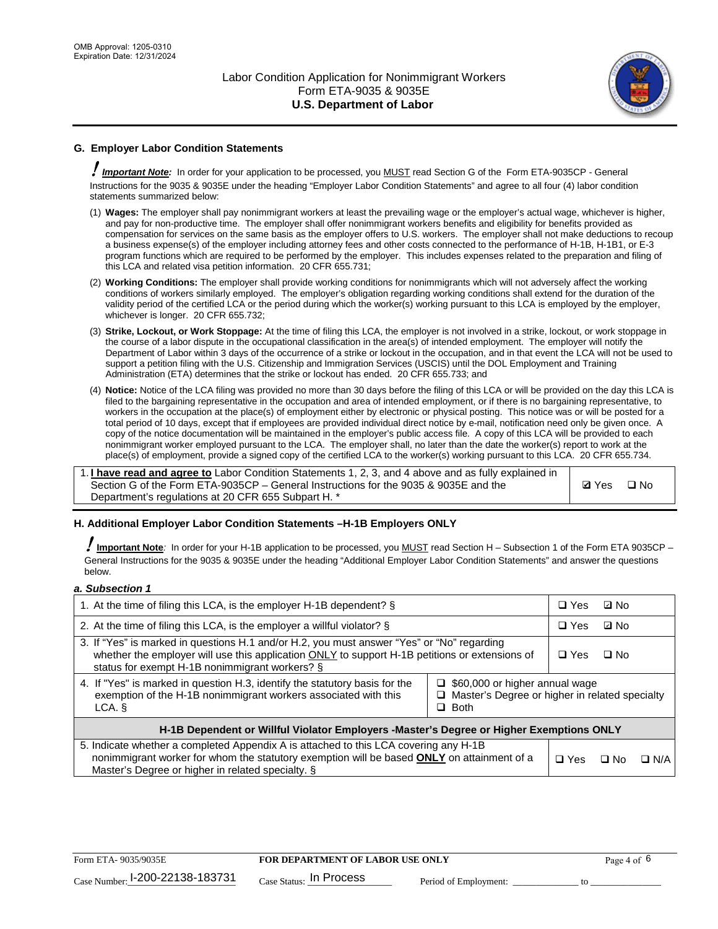

## **G. Employer Labor Condition Statements**

! *Important Note:* In order for your application to be processed, you MUST read Section G of the Form ETA-9035CP - General Instructions for the 9035 & 9035E under the heading "Employer Labor Condition Statements" and agree to all four (4) labor condition statements summarized below:

- (1) **Wages:** The employer shall pay nonimmigrant workers at least the prevailing wage or the employer's actual wage, whichever is higher, and pay for non-productive time. The employer shall offer nonimmigrant workers benefits and eligibility for benefits provided as compensation for services on the same basis as the employer offers to U.S. workers. The employer shall not make deductions to recoup a business expense(s) of the employer including attorney fees and other costs connected to the performance of H-1B, H-1B1, or E-3 program functions which are required to be performed by the employer. This includes expenses related to the preparation and filing of this LCA and related visa petition information. 20 CFR 655.731;
- (2) **Working Conditions:** The employer shall provide working conditions for nonimmigrants which will not adversely affect the working conditions of workers similarly employed. The employer's obligation regarding working conditions shall extend for the duration of the validity period of the certified LCA or the period during which the worker(s) working pursuant to this LCA is employed by the employer, whichever is longer. 20 CFR 655.732;
- (3) **Strike, Lockout, or Work Stoppage:** At the time of filing this LCA, the employer is not involved in a strike, lockout, or work stoppage in the course of a labor dispute in the occupational classification in the area(s) of intended employment. The employer will notify the Department of Labor within 3 days of the occurrence of a strike or lockout in the occupation, and in that event the LCA will not be used to support a petition filing with the U.S. Citizenship and Immigration Services (USCIS) until the DOL Employment and Training Administration (ETA) determines that the strike or lockout has ended. 20 CFR 655.733; and
- (4) **Notice:** Notice of the LCA filing was provided no more than 30 days before the filing of this LCA or will be provided on the day this LCA is filed to the bargaining representative in the occupation and area of intended employment, or if there is no bargaining representative, to workers in the occupation at the place(s) of employment either by electronic or physical posting. This notice was or will be posted for a total period of 10 days, except that if employees are provided individual direct notice by e-mail, notification need only be given once. A copy of the notice documentation will be maintained in the employer's public access file. A copy of this LCA will be provided to each nonimmigrant worker employed pursuant to the LCA. The employer shall, no later than the date the worker(s) report to work at the place(s) of employment, provide a signed copy of the certified LCA to the worker(s) working pursuant to this LCA. 20 CFR 655.734.

1. **I have read and agree to** Labor Condition Statements 1, 2, 3, and 4 above and as fully explained in Section G of the Form ETA-9035CP – General Instructions for the 9035 & 9035E and the Department's regulations at 20 CFR 655 Subpart H. \*

**Ø**Yes ロNo

### **H. Additional Employer Labor Condition Statements –H-1B Employers ONLY**

!**Important Note***:* In order for your H-1B application to be processed, you MUST read Section H – Subsection 1 of the Form ETA 9035CP – General Instructions for the 9035 & 9035E under the heading "Additional Employer Labor Condition Statements" and answer the questions below.

#### *a. Subsection 1*

| 1. At the time of filing this LCA, is the employer H-1B dependent? §                                                                                                                                                                                                    |  | $\Box$ Yes | ⊡ No      |            |
|-------------------------------------------------------------------------------------------------------------------------------------------------------------------------------------------------------------------------------------------------------------------------|--|------------|-----------|------------|
| 2. At the time of filing this LCA, is the employer a willful violator? $\S$                                                                                                                                                                                             |  |            | ⊡ No      |            |
| 3. If "Yes" is marked in questions H.1 and/or H.2, you must answer "Yes" or "No" regarding<br>whether the employer will use this application ONLY to support H-1B petitions or extensions of<br>status for exempt H-1B nonimmigrant workers? §                          |  |            | $\Box$ No |            |
| 4. If "Yes" is marked in question H.3, identify the statutory basis for the<br>$\Box$ \$60,000 or higher annual wage<br>exemption of the H-1B nonimmigrant workers associated with this<br>$\Box$ Master's Degree or higher in related specialty<br>$\Box$ Both<br>LCA. |  |            |           |            |
| H-1B Dependent or Willful Violator Employers -Master's Degree or Higher Exemptions ONLY                                                                                                                                                                                 |  |            |           |            |
| 5. Indicate whether a completed Appendix A is attached to this LCA covering any H-1B<br>nonimmigrant worker for whom the statutory exemption will be based <b>ONLY</b> on attainment of a<br>Master's Degree or higher in related specialty. §                          |  |            | ⊡ No      | $\Box$ N/A |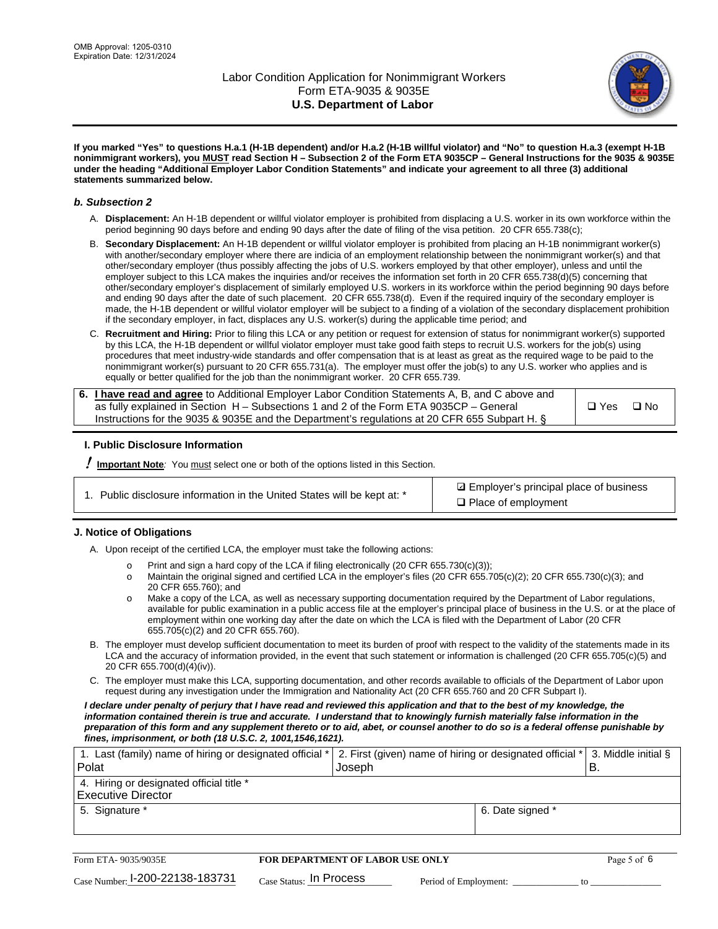

**If you marked "Yes" to questions H.a.1 (H-1B dependent) and/or H.a.2 (H-1B willful violator) and "No" to question H.a.3 (exempt H-1B nonimmigrant workers), you MUST read Section H – Subsection 2 of the Form ETA 9035CP – General Instructions for the 9035 & 9035E under the heading "Additional Employer Labor Condition Statements" and indicate your agreement to all three (3) additional statements summarized below.**

#### *b. Subsection 2*

- A. **Displacement:** An H-1B dependent or willful violator employer is prohibited from displacing a U.S. worker in its own workforce within the period beginning 90 days before and ending 90 days after the date of filing of the visa petition. 20 CFR 655.738(c);
- B. **Secondary Displacement:** An H-1B dependent or willful violator employer is prohibited from placing an H-1B nonimmigrant worker(s) with another/secondary employer where there are indicia of an employment relationship between the nonimmigrant worker(s) and that other/secondary employer (thus possibly affecting the jobs of U.S. workers employed by that other employer), unless and until the employer subject to this LCA makes the inquiries and/or receives the information set forth in 20 CFR 655.738(d)(5) concerning that other/secondary employer's displacement of similarly employed U.S. workers in its workforce within the period beginning 90 days before and ending 90 days after the date of such placement. 20 CFR 655.738(d). Even if the required inquiry of the secondary employer is made, the H-1B dependent or willful violator employer will be subject to a finding of a violation of the secondary displacement prohibition if the secondary employer, in fact, displaces any U.S. worker(s) during the applicable time period; and
- C. **Recruitment and Hiring:** Prior to filing this LCA or any petition or request for extension of status for nonimmigrant worker(s) supported by this LCA, the H-1B dependent or willful violator employer must take good faith steps to recruit U.S. workers for the job(s) using procedures that meet industry-wide standards and offer compensation that is at least as great as the required wage to be paid to the nonimmigrant worker(s) pursuant to 20 CFR 655.731(a). The employer must offer the job(s) to any U.S. worker who applies and is equally or better qualified for the job than the nonimmigrant worker. 20 CFR 655.739.

| 6. I have read and agree to Additional Employer Labor Condition Statements A, B, and C above and |         |           |
|--------------------------------------------------------------------------------------------------|---------|-----------|
| as fully explained in Section H – Subsections 1 and 2 of the Form ETA 9035CP – General           | l □ Yes | $\Box$ No |
| Instructions for the 9035 & 9035E and the Department's regulations at 20 CFR 655 Subpart H. §    |         |           |

### **I. Public Disclosure Information**

! **Important Note***:* You must select one or both of the options listed in this Section.

| 1. Public disclosure information in the United States will be kept at: * |  |  |  |  |  |  |  |
|--------------------------------------------------------------------------|--|--|--|--|--|--|--|
|--------------------------------------------------------------------------|--|--|--|--|--|--|--|

**sqrt** Employer's principal place of business □ Place of employment

### **J. Notice of Obligations**

A. Upon receipt of the certified LCA, the employer must take the following actions:

- o Print and sign a hard copy of the LCA if filing electronically (20 CFR 655.730(c)(3));<br>
Maintain the original signed and certified LCA in the employer's files (20 CFR 655.7
- Maintain the original signed and certified LCA in the employer's files (20 CFR 655.705(c)(2); 20 CFR 655.730(c)(3); and 20 CFR 655.760); and
- o Make a copy of the LCA, as well as necessary supporting documentation required by the Department of Labor regulations, available for public examination in a public access file at the employer's principal place of business in the U.S. or at the place of employment within one working day after the date on which the LCA is filed with the Department of Labor (20 CFR 655.705(c)(2) and 20 CFR 655.760).
- B. The employer must develop sufficient documentation to meet its burden of proof with respect to the validity of the statements made in its LCA and the accuracy of information provided, in the event that such statement or information is challenged (20 CFR 655.705(c)(5) and 20 CFR 655.700(d)(4)(iv)).
- C. The employer must make this LCA, supporting documentation, and other records available to officials of the Department of Labor upon request during any investigation under the Immigration and Nationality Act (20 CFR 655.760 and 20 CFR Subpart I).

*I declare under penalty of perjury that I have read and reviewed this application and that to the best of my knowledge, the*  information contained therein is true and accurate. I understand that to knowingly furnish materially false information in the *preparation of this form and any supplement thereto or to aid, abet, or counsel another to do so is a federal offense punishable by fines, imprisonment, or both (18 U.S.C. 2, 1001,1546,1621).*

| 1. Last (family) name of hiring or designated official *   2. First (given) name of hiring or designated official *   3. Middle initial §<br><b>Polat</b> | Joseph           |  |
|-----------------------------------------------------------------------------------------------------------------------------------------------------------|------------------|--|
| 4. Hiring or designated official title *<br><b>Executive Director</b>                                                                                     |                  |  |
| 5. Signature *                                                                                                                                            | 6. Date signed * |  |